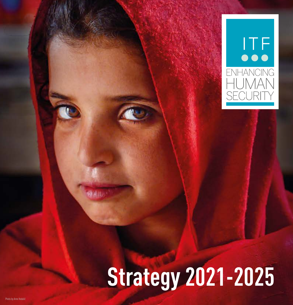

# **Strategy 2021-2025**

関係し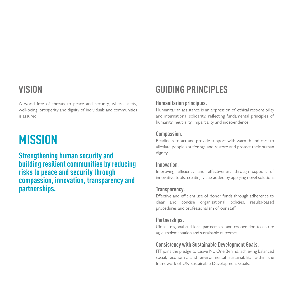## **VISION**

A world free of threats to peace and security, where safety, well-being, prosperity and dignity of individuals and communities is assured.

## **MISSION**

**Strengthening human security and building resilient communities by reducing risks to peace and security through compassion, innovation, transparency and partnerships.**

## **GUIDING PRINCIPLES**

#### **Humanitarian principles.**

Humanitarian assistance is an expression of ethical responsibility and international solidarity, reflecting fundamental principles of humanity, neutrality, impartiality and independence.

#### **Compassion.**

Readiness to act and provide support with warmth and care to alleviate people's sufferings and restore and protect their human dignity.

#### **Innovation**.

Improving efficiency and effectiveness through support of innovative tools, creating value added by applying novel solutions.

#### **Transparency.**

Effective and efficient use of donor funds through adherence to clear and concise organisational policies, results-based procedures and professionalism of our staff.

#### **Partnerships.**

Global, regional and local partnerships and cooperation to ensure agile implementation and sustainable outcomes.

#### **Consistency with Sustainable Development Goals.**

ITF joins the pledge to Leave No One Behind, achieving balanced social, economic and environmental sustainability within the framework of UN Sustainable Development Goals.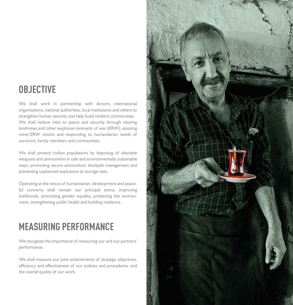## **OBJECTIVE**

We shall work in partnership with donors, international organisations, national authorities, local institutions and others to strengthen human security and help build resilient communities. We shall reduce risks to peace and security through clearing landmines and other explosive remnants of war (ERW), assisting mine/ERW victims and responding to humanitarian needs of survivors, family members and communities.

We shall protect civilian populations by disposing of obsolete weapons and ammunition in safe and environmentally sustainable ways, promoting secure ammunition stockpile management and preventing unplanned explosions at storage sites.

Operating at the nexus of humanitarian, development and peaceful concerns shall remain our principal arena, improving livelihoods, promoting gender equality, protecting the environment, strengthening public health and building resilience.

## **MEASURING PERFORMANCE**

We recognize the importance of measuring our and our partners' performance.

We shall measure our joint achievements of strategic objectives, efficiency and effectiveness of our policies and procedures, and the overall quality of our work.